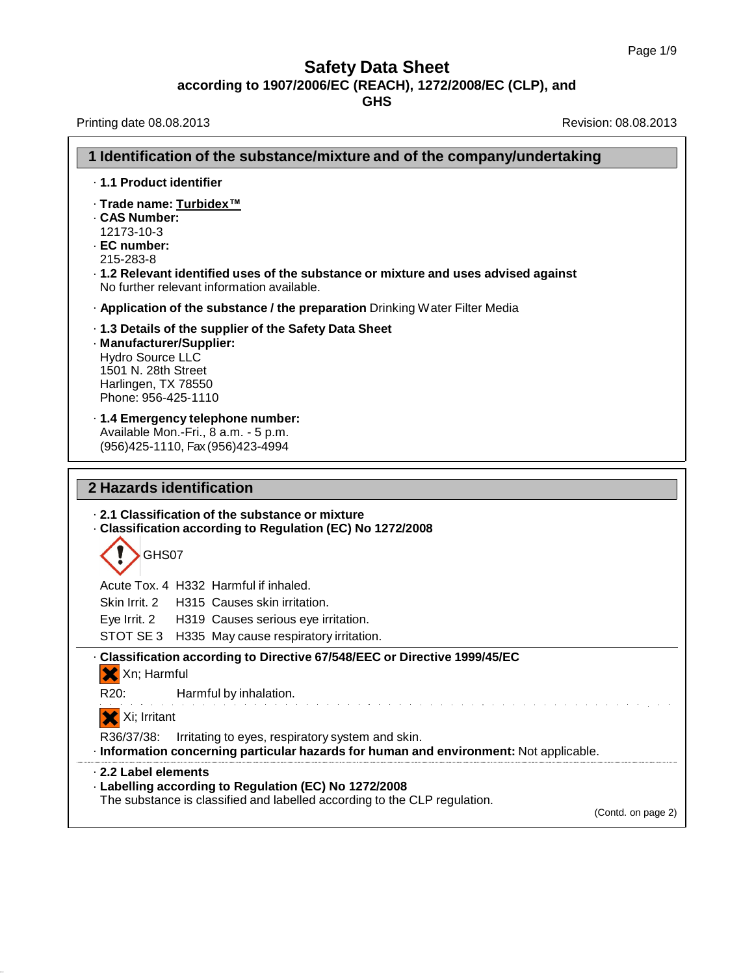٦

# **Safety Data Sheet according to 1907/2006/EC (REACH), 1272/2008/EC (CLP), and**

**GHS**

Printing date 08.08.2013 **Printing date 08.08.2013** 

|                                                                                                                          | 1 Identification of the substance/mixture and of the company/undertaking                                                                                 |  |  |
|--------------------------------------------------------------------------------------------------------------------------|----------------------------------------------------------------------------------------------------------------------------------------------------------|--|--|
| · 1.1 Product identifier                                                                                                 |                                                                                                                                                          |  |  |
| · Trade name: Turbidex™<br>. CAS Number:<br>12173-10-3<br>· EC number:<br>215-283-8                                      | . 1.2 Relevant identified uses of the substance or mixture and uses advised against<br>No further relevant information available.                        |  |  |
|                                                                                                                          | . Application of the substance / the preparation Drinking Water Filter Media                                                                             |  |  |
| · Manufacturer/Supplier:<br><b>Hydro Source LLC</b><br>1501 N. 28th Street<br>Harlingen, TX 78550<br>Phone: 956-425-1110 | . 1.3 Details of the supplier of the Safety Data Sheet                                                                                                   |  |  |
|                                                                                                                          | · 1.4 Emergency telephone number:<br>Available Mon.-Fri., 8 a.m. - 5 p.m.<br>(956) 425-1110, Fax (956) 423-4994                                          |  |  |
| 2 Hazards identification                                                                                                 |                                                                                                                                                          |  |  |
| GHS07                                                                                                                    | 2.1 Classification of the substance or mixture<br>- Classification according to Regulation (EC) No 1272/2008                                             |  |  |
|                                                                                                                          | Acute Tox. 4 H332 Harmful if inhaled.                                                                                                                    |  |  |
|                                                                                                                          | Skin Irrit. 2 H315 Causes skin irritation.                                                                                                               |  |  |
|                                                                                                                          | Eye Irrit. 2 H319 Causes serious eye irritation.                                                                                                         |  |  |
|                                                                                                                          | STOT SE 3 H335 May cause respiratory irritation.                                                                                                         |  |  |
| X Xn; Harmful                                                                                                            | · Classification according to Directive 67/548/EEC or Directive 1999/45/EC                                                                               |  |  |
| R20:                                                                                                                     | Harmful by inhalation.                                                                                                                                   |  |  |
| X Xi; Irritant                                                                                                           |                                                                                                                                                          |  |  |
| R36/37/38:                                                                                                               | Irritating to eyes, respiratory system and skin.<br>· Information concerning particular hazards for human and environment: Not applicable.               |  |  |
| 2.2 Label elements                                                                                                       | - Labelling according to Regulation (EC) No 1272/2008<br>The substance is classified and labelled according to the CLP regulation.<br>(Contd. on page 2) |  |  |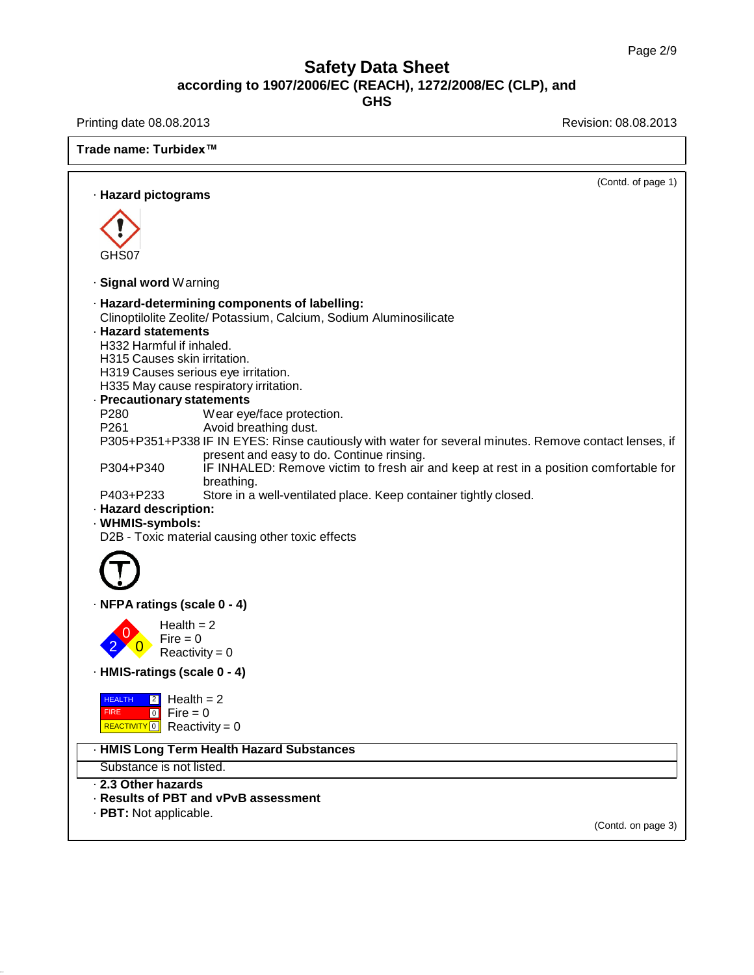Printing date 08.08.2013 **Printing date 08.08.2013** 

| Trade name: Turbidex <sup>™</sup>                                                                                                                                                                                                                                                                                                                                                                                                                                                                                                                                                                                                                                                                                                                                                                                                                            |  |  |
|--------------------------------------------------------------------------------------------------------------------------------------------------------------------------------------------------------------------------------------------------------------------------------------------------------------------------------------------------------------------------------------------------------------------------------------------------------------------------------------------------------------------------------------------------------------------------------------------------------------------------------------------------------------------------------------------------------------------------------------------------------------------------------------------------------------------------------------------------------------|--|--|
| (Contd. of page 1)<br>· Hazard pictograms                                                                                                                                                                                                                                                                                                                                                                                                                                                                                                                                                                                                                                                                                                                                                                                                                    |  |  |
|                                                                                                                                                                                                                                                                                                                                                                                                                                                                                                                                                                                                                                                                                                                                                                                                                                                              |  |  |
| GHS07                                                                                                                                                                                                                                                                                                                                                                                                                                                                                                                                                                                                                                                                                                                                                                                                                                                        |  |  |
| · Signal word Warning                                                                                                                                                                                                                                                                                                                                                                                                                                                                                                                                                                                                                                                                                                                                                                                                                                        |  |  |
| · Hazard-determining components of labelling:<br>Clinoptilolite Zeolite/ Potassium, Calcium, Sodium Aluminosilicate<br><b>Hazard statements</b><br>H332 Harmful if inhaled.<br>H315 Causes skin irritation.<br>H319 Causes serious eye irritation.<br>H335 May cause respiratory irritation.<br>- Precautionary statements<br>P280<br>Wear eye/face protection.<br>P261<br>Avoid breathing dust.<br>P305+P351+P338 IF IN EYES: Rinse cautiously with water for several minutes. Remove contact lenses, if<br>present and easy to do. Continue rinsing.<br>P304+P340<br>IF INHALED: Remove victim to fresh air and keep at rest in a position comfortable for<br>breathing.<br>Store in a well-ventilated place. Keep container tightly closed.<br>P403+P233<br>· Hazard description:<br>· WHMIS-symbols:<br>D2B - Toxic material causing other toxic effects |  |  |
| · NFPA ratings (scale 0 - 4)                                                                                                                                                                                                                                                                                                                                                                                                                                                                                                                                                                                                                                                                                                                                                                                                                                 |  |  |
| Health $= 2$<br>$Fire = 0$<br>Reactivity = $0$                                                                                                                                                                                                                                                                                                                                                                                                                                                                                                                                                                                                                                                                                                                                                                                                               |  |  |
| · HMIS-ratings (scale 0 - 4)                                                                                                                                                                                                                                                                                                                                                                                                                                                                                                                                                                                                                                                                                                                                                                                                                                 |  |  |
| $\boxed{2}$ Health = 2<br><b>HEALTH</b><br>$\begin{bmatrix} 0 \\ 0 \end{bmatrix}$ Fire = 0<br><b>FIRE</b><br>$REACTIVITY 0$ Reactivity = 0                                                                                                                                                                                                                                                                                                                                                                                                                                                                                                                                                                                                                                                                                                                   |  |  |
| · HMIS Long Term Health Hazard Substances                                                                                                                                                                                                                                                                                                                                                                                                                                                                                                                                                                                                                                                                                                                                                                                                                    |  |  |
| Substance is not listed.                                                                                                                                                                                                                                                                                                                                                                                                                                                                                                                                                                                                                                                                                                                                                                                                                                     |  |  |
| 2.3 Other hazards<br>- Results of PBT and vPvB assessment                                                                                                                                                                                                                                                                                                                                                                                                                                                                                                                                                                                                                                                                                                                                                                                                    |  |  |
| · PBT: Not applicable.                                                                                                                                                                                                                                                                                                                                                                                                                                                                                                                                                                                                                                                                                                                                                                                                                                       |  |  |
| (Contd. on page 3)                                                                                                                                                                                                                                                                                                                                                                                                                                                                                                                                                                                                                                                                                                                                                                                                                                           |  |  |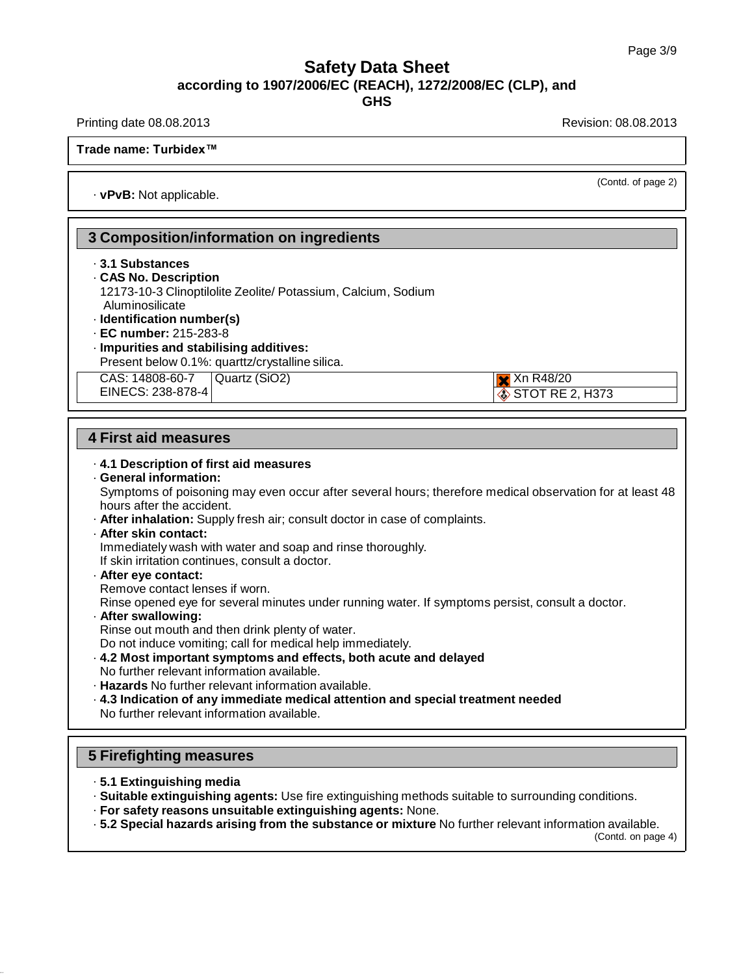**GHS**

Printing date 08.08.2013 **Printing date 08.08.2013** Revision: 08.08.2013

STOT RE 2, H373

**Trade name: Turbidex™**

(Contd. of page 2)

· **vPvB:** Not applicable.

# **3 Composition/information on ingredients**

- · **3.1 Substances**
- · **CAS No. Description**

12173-10-3 Clinoptilolite Zeolite/ Potassium, Calcium, Sodium Aluminosilicate

- · **Identification number(s)**
- · **EC number:** 215-283-8
- · **Impurities and stabilising additives:** Present below 0.1%: quarttz/crystalline silica.

CAS: 14808-60-7 EINECS: 238-878-4  $Quartz (SiO2)$  Xn R48/20

## **4 First aid measures**

· **4.1 Description of first aid measures** · **General information:** Symptoms of poisoning may even occur after several hours; therefore medical observation for at least 48 hours after the accident. · **After inhalation:** Supply fresh air; consult doctor in case of complaints. · **After skin contact:** Immediately wash with water and soap and rinse thoroughly. If skin irritation continues, consult a doctor. · **After eye contact:** Remove contact lenses if worn. Rinse opened eye for several minutes under running water. If symptoms persist, consult a doctor. · **After swallowing:**

Rinse out mouth and then drink plenty of water.

Do not induce vomiting; call for medical help immediately.

- · **4.2 Most important symptoms and effects, both acute and delayed** No further relevant information available.
- · **Hazards** No further relevant information available.

· **4.3 Indication of any immediate medical attention and special treatment needed** No further relevant information available.

# **5 Firefighting measures**

- · **5.1 Extinguishing media**
- · **Suitable extinguishing agents:** Use fire extinguishing methods suitable to surrounding conditions.
- · **For safety reasons unsuitable extinguishing agents:** None.
- · **5.2 Special hazards arising from the substance or mixture** No further relevant information available.

(Contd. on page 4)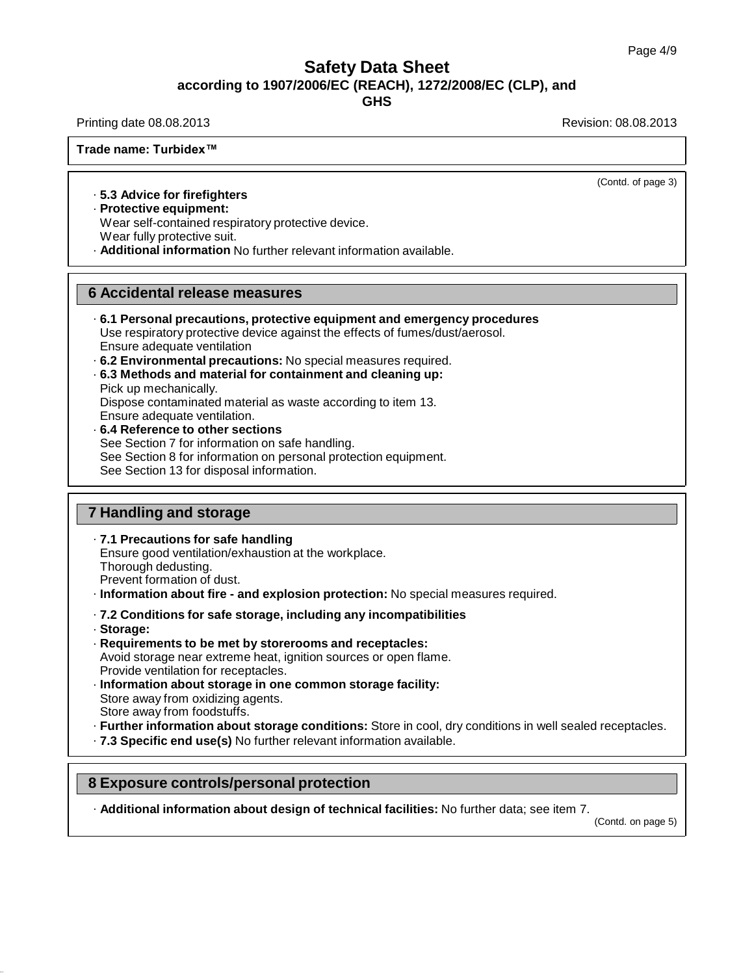**GHS**

Printing date 08.08.2013 **Printing date 08.08.2013** Revision: 08.08.2013

**Trade name: Turbidex™**

(Contd. of page 3)

#### · **5.3 Advice for firefighters**

· **Protective equipment:**

Wear self-contained respiratory protective device.

Wear fully protective suit.

· **Additional information** No further relevant information available.

#### **6 Accidental release measures**

- · **6.1 Personal precautions, protective equipment and emergency procedures**  Use respiratory protective device against the effects of fumes/dust/aerosol. Ensure adequate ventilation
- · **6.2 Environmental precautions:** No special measures required.
- · **6.3 Methods and material for containment and cleaning up:** Pick up mechanically. Dispose contaminated material as waste according to item 13. Ensure adequate ventilation. · **6.4 Reference to other sections**
- See Section 7 for information on safe handling. See Section 8 for information on personal protection equipment. See Section 13 for disposal information.

# **7 Handling and storage**

· **7.1 Precautions for safe handling**

Ensure good ventilation/exhaustion at the workplace.

Thorough dedusting.

Prevent formation of dust.

- · **Information about fire - and explosion protection:** No special measures required.
- · **7.2 Conditions for safe storage, including any incompatibilities**
- · **Storage:**
- · **Requirements to be met by storerooms and receptacles:** Avoid storage near extreme heat, ignition sources or open flame. Provide ventilation for receptacles.
- · **Information about storage in one common storage facility:** Store away from oxidizing agents. Store away from foodstuffs.
- · **Further information about storage conditions:** Store in cool, dry conditions in well sealed receptacles.
- · **7.3 Specific end use(s)** No further relevant information available.

# **8 Exposure controls/personal protection**

· **Additional information about design of technical facilities:** No further data; see item 7.

(Contd. on page 5)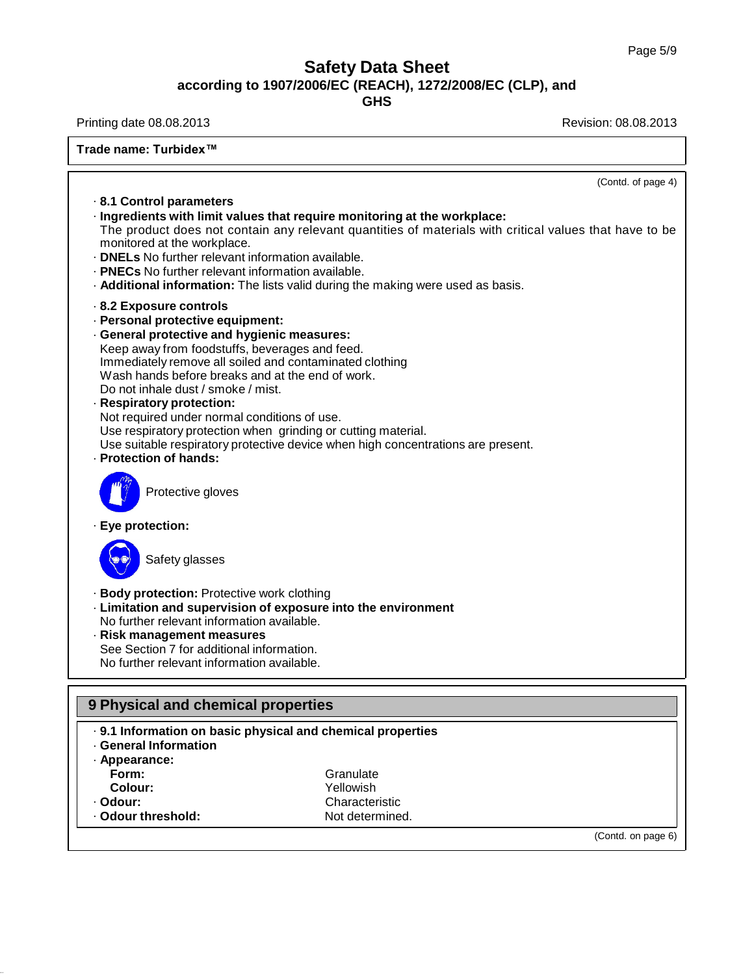**GHS**

Printing date 08.08.2013 **Printing date 08.08.2013** 

| Trade name: Turbidex <sup>™</sup>                                                                                                                                                                                                                                                                                                                                                                                                                                                                                                                                           |                                                                                                        |
|-----------------------------------------------------------------------------------------------------------------------------------------------------------------------------------------------------------------------------------------------------------------------------------------------------------------------------------------------------------------------------------------------------------------------------------------------------------------------------------------------------------------------------------------------------------------------------|--------------------------------------------------------------------------------------------------------|
|                                                                                                                                                                                                                                                                                                                                                                                                                                                                                                                                                                             | (Contd. of page 4)                                                                                     |
| 8.1 Control parameters<br>· Ingredients with limit values that require monitoring at the workplace:<br>monitored at the workplace.<br>. <b>DNELs</b> No further relevant information available.<br><b>PNECs</b> No further relevant information available.<br>. Additional information: The lists valid during the making were used as basis.                                                                                                                                                                                                                               | The product does not contain any relevant quantities of materials with critical values that have to be |
| 8.2 Exposure controls<br>· Personal protective equipment:<br>· General protective and hygienic measures:<br>Keep away from foodstuffs, beverages and feed.<br>Immediately remove all soiled and contaminated clothing<br>Wash hands before breaks and at the end of work.<br>Do not inhale dust / smoke / mist.<br>· Respiratory protection:<br>Not required under normal conditions of use.<br>Use respiratory protection when grinding or cutting material.<br>Use suitable respiratory protective device when high concentrations are present.<br>- Protection of hands: |                                                                                                        |
| Protective gloves                                                                                                                                                                                                                                                                                                                                                                                                                                                                                                                                                           |                                                                                                        |
| · Eye protection:                                                                                                                                                                                                                                                                                                                                                                                                                                                                                                                                                           |                                                                                                        |
| Safety glasses                                                                                                                                                                                                                                                                                                                                                                                                                                                                                                                                                              |                                                                                                        |
| · Body protection: Protective work clothing<br>- Limitation and supervision of exposure into the environment<br>No further relevant information available.<br>Risk management measures<br>See Section 7 for additional information.<br>No further relevant information available.                                                                                                                                                                                                                                                                                           |                                                                                                        |
| 9 Physical and chemical properties                                                                                                                                                                                                                                                                                                                                                                                                                                                                                                                                          |                                                                                                        |
| . 9.1 Information on basic physical and chemical properties<br>· General Information<br>· Appearance:<br>Form:                                                                                                                                                                                                                                                                                                                                                                                                                                                              | Granulate                                                                                              |

| Colour:            | Yellowish       |
|--------------------|-----------------|
| · Odour:           | Characteristic  |
| ⋅ Odour threshold: | Not determined. |

(Contd. on page 6)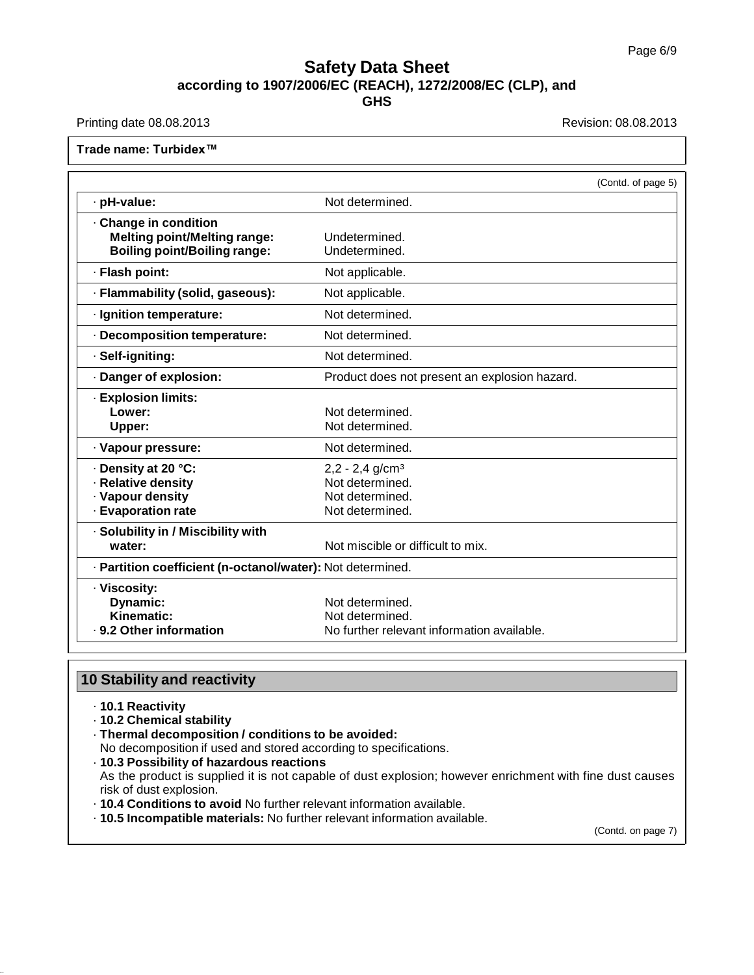Printing date 08.08.2013 **Revision: 08.08.2013** 

**Trade name: Turbidex™**

|                                                                                                   |                                                                                        | (Contd. of page 5) |
|---------------------------------------------------------------------------------------------------|----------------------------------------------------------------------------------------|--------------------|
| · pH-value:                                                                                       | Not determined.                                                                        |                    |
| Change in condition<br><b>Melting point/Melting range:</b><br><b>Boiling point/Boiling range:</b> | Undetermined.<br>Undetermined.                                                         |                    |
| · Flash point:                                                                                    | Not applicable.                                                                        |                    |
| · Flammability (solid, gaseous):                                                                  | Not applicable.                                                                        |                    |
| · Ignition temperature:                                                                           | Not determined.                                                                        |                    |
| · Decomposition temperature:                                                                      | Not determined.                                                                        |                    |
| · Self-igniting:                                                                                  | Not determined.                                                                        |                    |
| · Danger of explosion:                                                                            | Product does not present an explosion hazard.                                          |                    |
| · Explosion limits:<br>Lower:<br>Upper:                                                           | Not determined.<br>Not determined.                                                     |                    |
| · Vapour pressure:                                                                                | Not determined.                                                                        |                    |
| · Density at 20 °C:<br>· Relative density<br>· Vapour density<br>· Evaporation rate               | $2,2 - 2,4$ g/cm <sup>3</sup><br>Not determined.<br>Not determined.<br>Not determined. |                    |
| · Solubility in / Miscibility with<br>water:                                                      | Not miscible or difficult to mix.                                                      |                    |
| · Partition coefficient (n-octanol/water): Not determined.                                        |                                                                                        |                    |
| · Viscosity:<br>Dynamic:<br>Kinematic:<br>. 9.2 Other information                                 | Not determined.<br>Not determined.<br>No further relevant information available.       |                    |

# **10 Stability and reactivity**

- · **10.1 Reactivity**
- · **10.2 Chemical stability**
- · **Thermal decomposition / conditions to be avoided:**
- No decomposition if used and stored according to specifications.
- · **10.3 Possibility of hazardous reactions**

As the product is supplied it is not capable of dust explosion; however enrichment with fine dust causes risk of dust explosion.

- · **10.4 Conditions to avoid** No further relevant information available.
- · **10.5 Incompatible materials:** No further relevant information available.

(Contd. on page 7)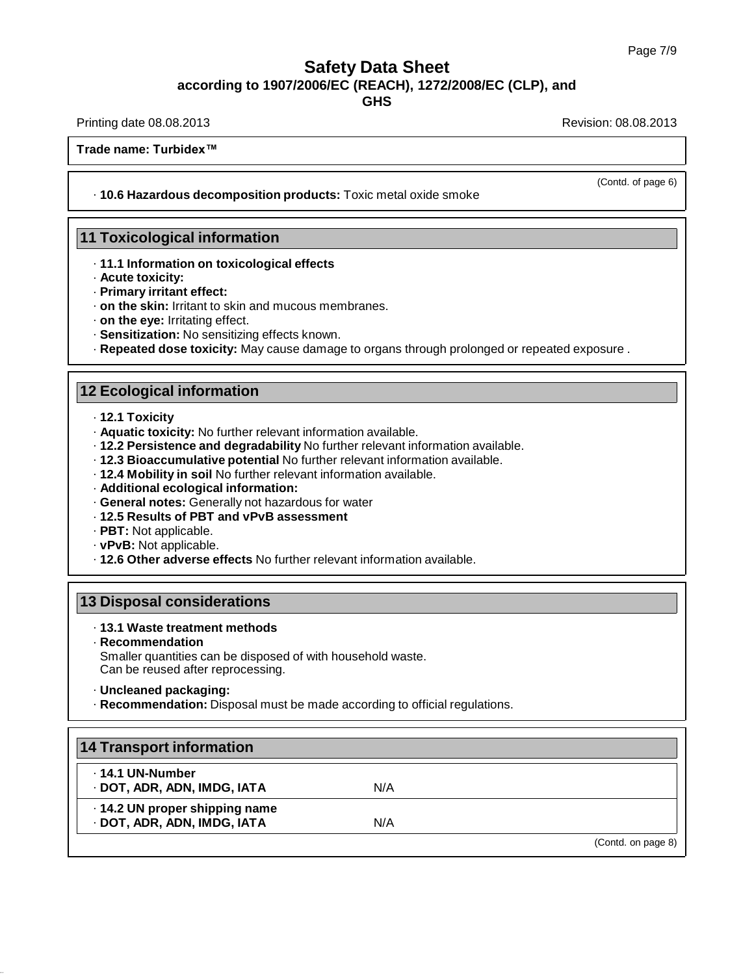**GHS**

Printing date 08.08.2013 **Printing date 08.08.2013** Revision: 08.08.2013

**Trade name: Turbidex™**

· **10.6 Hazardous decomposition products:** Toxic metal oxide smoke

#### **11 Toxicological information**

- · **11.1 Information on toxicological effects**
- · **Acute toxicity:**
- · **Primary irritant effect:**
- · **on the skin:** Irritant to skin and mucous membranes.
- · **on the eye:** Irritating effect.
- · **Sensitization:** No sensitizing effects known.
- · **Repeated dose toxicity:** May cause damage to organs through prolonged or repeated exposure .

#### **12 Ecological information**

- · **12.1 Toxicity**
- · **Aquatic toxicity:** No further relevant information available.
- · **12.2 Persistence and degradability** No further relevant information available.
- · **12.3 Bioaccumulative potential** No further relevant information available.
- · **12.4 Mobility in soil** No further relevant information available.
- · **Additional ecological information:**
- · **General notes:** Generally not hazardous for water
- · **12.5 Results of PBT and vPvB assessment**
- · **PBT:** Not applicable.
- · **vPvB:** Not applicable.
- · **12.6 Other adverse effects** No further relevant information available.

#### **13 Disposal considerations**

#### · **13.1 Waste treatment methods**

· **Recommendation**

Smaller quantities can be disposed of with household waste. Can be reused after reprocessing.

· **Uncleaned packaging:**

· **Recommendation:** Disposal must be made according to official regulations.

| 14 Transport information                                      |     |                    |
|---------------------------------------------------------------|-----|--------------------|
| $\cdot$ 14.1 UN-Number<br>· DOT, ADR, ADN, IMDG, IATA         | N/A |                    |
| · 14.2 UN proper shipping name<br>· DOT, ADR, ADN, IMDG, IATA | N/A |                    |
|                                                               |     | (Contd. on page 8) |

(Contd. of page 6)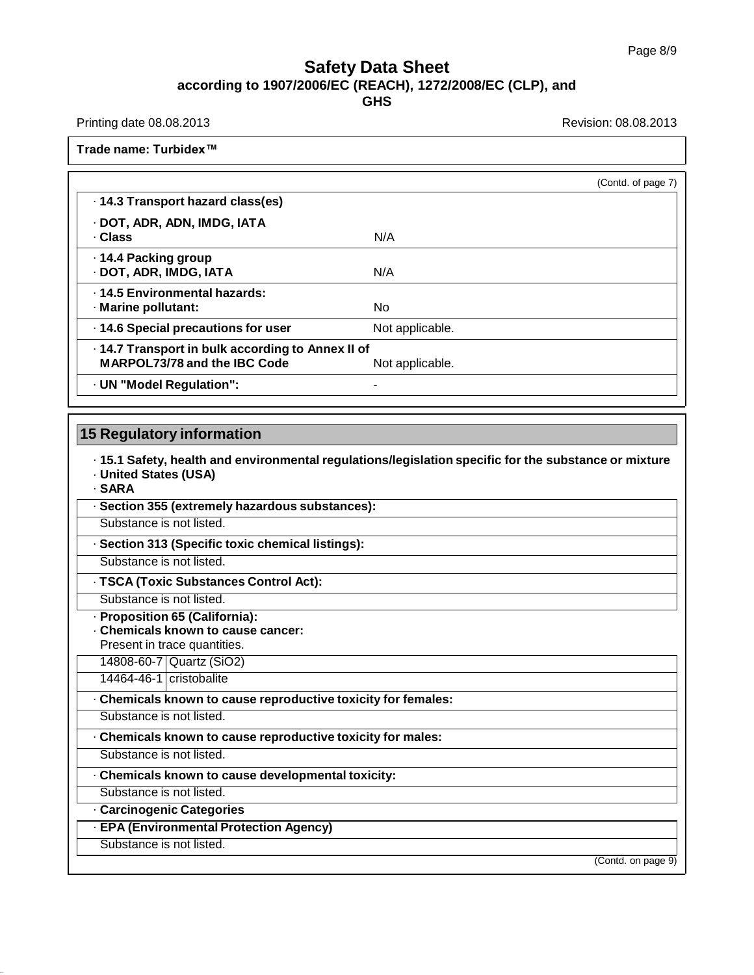Printing date 08.08.2013 **Printing date 08.08.2013** 

**Trade name: Turbidex™**

|                                                                                          | (Contd. of page 7) |
|------------------------------------------------------------------------------------------|--------------------|
| 14.3 Transport hazard class(es)                                                          |                    |
| · DOT, ADR, ADN, IMDG, IATA<br>· Class                                                   | N/A                |
| ⋅ 14.4 Packing group<br>· DOT, ADR, IMDG, IATA                                           | N/A                |
| . 14.5 Environmental hazards:<br>· Marine pollutant:                                     | No.                |
| · 14.6 Special precautions for user                                                      | Not applicable.    |
| · 14.7 Transport in bulk according to Annex II of<br><b>MARPOL73/78 and the IBC Code</b> | Not applicable.    |
| · UN "Model Regulation":                                                                 | -                  |

# **15 Regulatory information**

· **15.1 Safety, health and environmental regulations/legislation specific for the substance or mixture** · **United States (USA)**

· **SARA**

· **Section 355 (extremely hazardous substances):**

Substance is not listed.

· **Section 313 (Specific toxic chemical listings):**

Substance is not listed.

· **TSCA (Toxic Substances Control Act):**

Substance is not listed.

· **Proposition 65 (California):**

· **Chemicals known to cause cancer:**

Present in trace quantities. 14808-60-7 Quartz (SiO2)

14464-46-1 cristobalite

· **Chemicals known to cause reproductive toxicity for females:**

Substance is not listed.

· **Chemicals known to cause reproductive toxicity for males:**

Substance is not listed.

· **Chemicals known to cause developmental toxicity:**

Substance is not listed.

· **Carcinogenic Categories**

· **EPA (Environmental Protection Agency)**

Substance is not listed.

(Contd. on page 9)